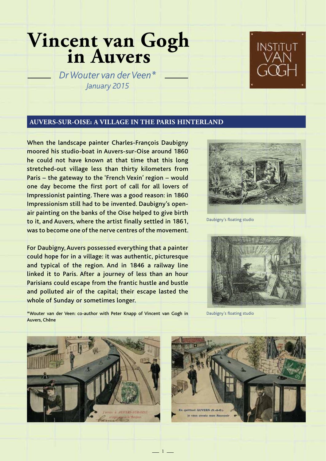# **Vincent van Gogh in Auvers**

*Dr Wouter van der Veen\* January 2015*

#### **AUVERS-SUR-OISE: A VILLAGE IN THE PARIS HINTERLAND**

When the landscape painter Charles-François Daubigny moored his studio-boat in Auvers-sur-Oise around 1860 he could not have known at that time that this long stretched-out village less than thirty kilometers from Paris – the gateway to the 'French Vexin' region – would one day become the first port of call for all lovers of Impressionist painting. There was a good reason: in 1860 Impressionism still had to be invented. Daubigny's openair painting on the banks of the Oise helped to give birth to it, and Auvers, where the artist finally settled in 1861, was to become one of the nerve centres of the movement.

For Daubigny, Auvers possessed everything that a painter could hope for in a village: it was authentic, picturesque and typical of the region. And in 1846 a railway line linked it to Paris. After a journey of less than an hour Parisians could escape from the frantic hustle and bustle and polluted air of the capital; their escape lasted the whole of Sunday or sometimes longer.

\*Wouter van der Veen: co-author with Peter Knapp of Vincent van Gogh in



Daubigny's floating studio



Daubigny's floating studio



Auvers, Chêne

 $-1$   $-$ 

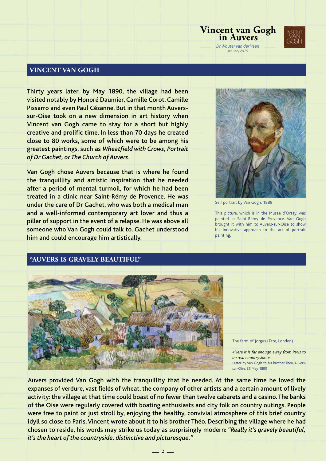#### **VINCENT VAN GOGH**

Thirty years later, by May 1890, the village had been visited notably by Honoré Daumier, Camille Corot, Camille Pissarro and even Paul Cézanne. But in that month Auverssur-Oise took on a new dimension in art history when Vincent van Gogh came to stay for a short but highly creative and prolific time. In less than 70 days he created close to 80 works, some of which were to be among his greatest paintings, such as *Wheatfield with Crows, Portrait of Dr Gachet, or The Church of Auvers*.

Van Gogh chose Auvers because that is where he found the tranquillity and artistic inspiration that he needed after a period of mental turmoil, for which he had been treated in a clinic near Saint-Rémy de Provence. He was under the care of Dr Gachet, who was both a medical man and a well-informed contemporary art lover and thus a pillar of support in the event of a relapse. He was above all someone who Van Gogh could talk to. Gachet understood him and could encourage him artistically.

**"AUVERS IS GRAVELY BEAUTIFUL"** 



Self portrait by Van Gogh, 1889

**Vincent van Gogh in Auvers**

*Dr Wouter van der Veen January 2015*

This picture, which is in the Musée d'Orsay, was painted in Saint-Rémy de Provence. Van Gogh brought it with him to Auvers-sur-Oise to show his innovative approach to the art of portrait painting.

#### The farm of Jorgus (Tate, London)

*«Here it is far enough away from Paris to be real countryside.»* Letter by Van Gogh to his brother Theo, Auverssur-Oise, 25 May 1890

Auvers provided Van Gogh with the tranquillity that he needed. At the same time he loved the expanses of verdure, vast fields of wheat, the company of other artists and a certain amount of lively activity: the village at that time could boast of no fewer than twelve cabarets and a casino. The banks of the Oise were regularly covered with boating enthusiasts and city folk on country outings. People were free to paint or just stroll by, enjoying the healthy, convivial atmosphere of this brief country idyll so close to Paris. Vincent wrote about it to his brother Théo. Describing the village where he had chosen to reside, his words may strike us today as surprisingly modern: *"Really it's gravely beautiful, it's the heart of the countryside, distinctive and picturesque."*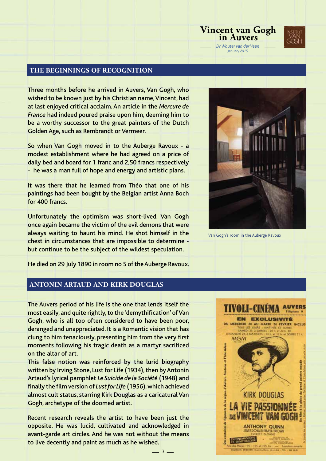

#### **THE BEGINNINGS OF RECOGNITION**

Three months before he arrived in Auvers, Van Gogh, who wished to be known just by his Christian name, Vincent, had at last enjoyed critical acclaim. An article in the *Mercure de France* had indeed poured praise upon him, deeming him to be a worthy successor to the great painters of the Dutch Golden Age, such as Rembrandt or Vermeer.

So when Van Gogh moved in to the Auberge Ravoux - a modest establishment where he had agreed on a price of daily bed and board for 1 franc and 2,50 francs respectively - he was a man full of hope and energy and artistic plans.

It was there that he learned from Théo that one of his paintings had been bought by the Belgian artist Anna Boch for 400 francs.

Unfortunately the optimism was short-lived. Van Gogh once again became the victim of the evil demons that were always waiting to haunt his mind. He shot himself in the chest in circumstances that are impossible to determine but continue to be the subject of the wildest speculation.



Van Gogh's room in the Auberge Ravoux

He died on 29 July 1890 in room no 5 of the Auberge Ravoux.

#### **ANTONIN ARTAUD AND KIRK DOUGLAS**

The Auvers period of his life is the one that lends itself the most easily, and quite rightly, to the 'demythification' of Van Gogh, who is all too often considered to have been poor, deranged and unappreciated. It is a Romantic vision that has clung to him tenaciously, presenting him from the very first moments following his tragic death as a martyr sacrificed on the altar of art.

This false notion was reinforced by the lurid biography written by Irving Stone, Lust for Life (1934), then by Antonin Artaud's lyrical pamphlet *Le Suicide de la Société* (1948) and finally the film version of *Lust for Life* (1956), which achieved almost cult status, starring Kirk Douglas as a caricatural Van Gogh, archetype of the doomed artist.

Recent research reveals the artist to have been just the opposite. He was lucid, cultivated and acknowledged in avant-garde art circles. And he was not without the means to live decently and paint as much as he wished.

 $-3-$ 

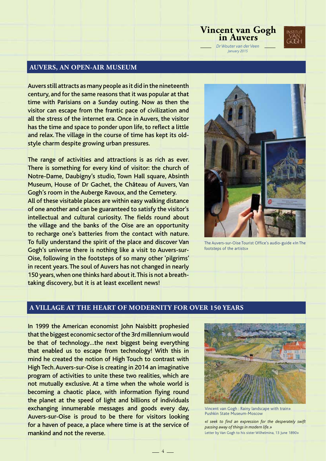

#### **AUVERS, AN OPEN-AIR MUSEUM**

Auvers still attracts as many people as it did in the nineteenth century, and for the same reasons that it was popular at that time with Parisians on a Sunday outing. Now as then the visitor can escape from the frantic pace of civilization and all the stress of the internet era. Once in Auvers, the visitor has the time and space to ponder upon life, to reflect a little and relax. The village in the course of time has kept its oldstyle charm despite growing urban pressures.

The range of activities and attractions is as rich as ever. There is something for every kind of visitor: the church of Notre-Dame, Daubigny's studio, Town Hall square, Absinth Museum, House of Dr Gachet, the Château of Auvers, Van Gogh's room in the Auberge Ravoux, and the Cemetery. All of these visitable places are within easy walking distance of one another and can be guaranteed to satisfy the visitor's intellectual and cultural curiosity. The fields round about the village and the banks of the Oise are an opportunity to recharge one's batteries from the contact with nature. To fully understand the spirit of the place and discover Van Gogh's universe there is nothing like a visit to Auvers-sur-Oise, following in the footsteps of so many other 'pilgrims' in recent years. The soul of Auvers has not changed in nearly 150 years, when one thinks hard about it. This is not a breathtaking discovery, but it is at least excellent news!



**Vincent van Gogh in Auvers**

*Dr Wouter van der Veen January 2015*

The Auvers-sur-Oise Tourist Office's audio-guide «In The footsteps of the artists»

#### **A VILLAGE AT THE HEART OF MODERNITY FOR OVER 150 YEARS**

 $-4$   $-$ 

In 1999 the American economist John Naisbitt prophesied that the biggest economic sector of the 3rd millennium would be that of technology…the next biggest being everything that enabled us to escape from technology! With this in mind he created the notion of High Touch to contrast with High Tech. Auvers-sur-Oise is creating in 2014 an imaginative program of activities to unite these two realities, which are not mutually exclusive. At a time when the whole world is becoming a chaotic place, with information flying round the planet at the speed of light and billions of individuals exchanging innumerable messages and goods every day, Auvers-sur-Oise is proud to be there for visitors looking for a haven of peace, a place where time is at the service of mankind and not the reverse.



Vincent van Gogh : Rainy landscape with train» Pushkin State Museum-Moscow

*«I seek to find an expression for the desperately swift passing away of things in modern life.»* Letter by Van Gogh to his sister Wilhelmina, 13 June 1890»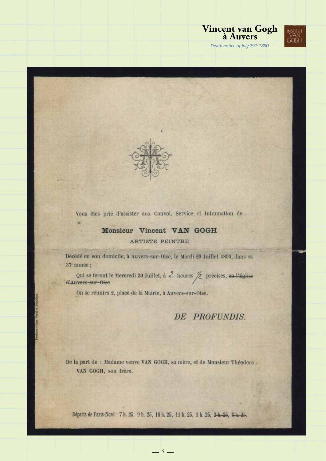



Vous êtes prié d'assister aux Convoi, Service et Inhumation de

#### Monsieur Vincent VAN GOGH

#### ARTISTE PEINTRE

Décédé en son domicile, à Auvers-sur-Oise, le Mardi 29 Juillet 1890, dans sa 37 année;

Qui se feront le Mercredi 30 Juillet, à  $\frac{2}{\sqrt{2}}$  heures  $\frac{1}{2}$  précises, en l'Église d'Auvers-sur-Oise.

On se réunira 2, place de la Mairie, à Auvers-sur-Oise.

### DE PROFUNDIS.

De la part de : Madame veuve VAN GOGH, sa mère, et de Monsieur Théodore VAN GOGH, son frère.

Départs de Paris-Nord : 7 h. 25, 9 h. 25, 10 h. 25, 11 h. 25, 1 h. 25, 2 h. 25, 3 h. 25,

 $-5-$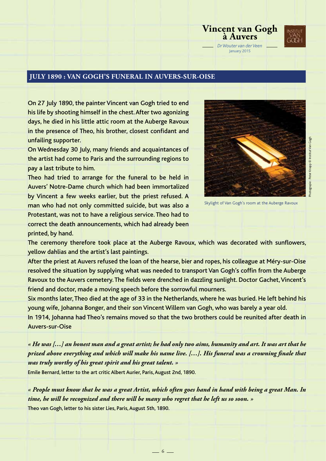

### **JULY 1890 : VAN GOGH'S FUNERAL IN AUVERS-SUR-OISE**

On 27 July 1890, the painter Vincent van Gogh tried to end his life by shooting himself in the chest. After two agonizing days, he died in his little attic room at the Auberge Ravoux in the presence of Theo, his brother, closest confidant and unfailing supporter.

On Wednesday 30 July, many friends and acquaintances of the artist had come to Paris and the surrounding regions to pay a last tribute to him.

Theo had tried to arrange for the funeral to be held in Auvers' Notre-Dame church which had been immortalized by Vincent a few weeks earlier, but the priest refused. A man who had not only committed suicide, but was also a Protestant, was not to have a religious service. Theo had to correct the death announcements, which had already been printed, by hand.



Skylight of Van Gogh's room at the Auberge Ravoux

The ceremony therefore took place at the Auberge Ravoux, which was decorated with sunflowers, yellow dahlias and the artist's last paintings.

After the priest at Auvers refused the loan of the hearse, bier and ropes, his colleague at Méry-sur-Oise resolved the situation by supplying what was needed to transport Van Gogh's coffin from the Auberge Ravoux to the Auvers cemetery. The fields were drenched in dazzling sunlight. Doctor Gachet, Vincent's friend and doctor, made a moving speech before the sorrowful mourners.

Six months later, Theo died at the age of 33 in the Netherlands, where he was buried. He left behind his young wife, Johanna Bonger, and their son Vincent Willem van Gogh, who was barely a year old.

In 1914, Johanna had Theo's remains moved so that the two brothers could be reunited after death in Auvers-sur-Oise

*« He was […] an honest man and a great artist; he had only two aims, humanity and art. It was art that he prized above everything and which will make his name live. […]. His funeral was a crowning finale that was truly worthy of his great spirit and his great talent. »* 

Emile Bernard, letter to the art critic Albert Aurier, Paris, August 2nd, 1890.

*« People must know that he was a great Artist, which often goes hand in hand with being a great Man. In time, he will be recognized and there will be many who regret that he left us so soon. »*  Theo van Gogh, letter to his sister Lies, Paris, August 5th, 1890.

 $-6-$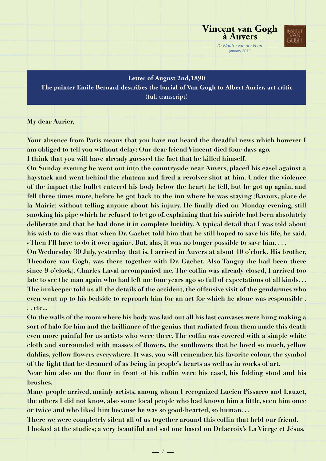

**Letter of August 2nd,1890 The painter Emile Bernard describes the burial of Van Gogh to Albert Aurier, art critic** (full transcript)

**My dear Aurier,**

**Your absence from Paris means that you have not heard the dreadful news which however I am obliged to tell you without delay: Our dear friend Vincent died four days ago.**

**I think that you will have already guessed the fact that he killed himself.**

**On Sunday evening he went out into the countryside near Auvers, placed his easel against a haystack and went behind the chateau and fired a revolver shot at him. Under the violence of the impact (the bullet entered his body below the heart) he fell, but he got up again, and fell three times more, before he got back to the inn where he was staying (Ravoux, place de la Mairie) without telling anyone about his injury. He finally died on Monday evening, still smoking his pipe which he refused to let go of, explaining that his suicide had been absolutely deliberate and that he had done it in complete lucidity. A typical detail that I was told about his wish to die was that when Dr. Gachet told him that he still hoped to save his life, he said, «Then I'll have to do it over again». But, alas, it was no longer possible to save him. . . .**

**On Wednesday 30 July, yesterday that is, I arrived in Auvers at about 10 o'clock. His brother, Theodore van Gogh, was there together with Dr. Gachet. Also Tanguy (he had been there since 9 o'clock). Charles Laval accompanied me. The coffin was already closed, I arrived too late to see the man again who had left me four years ago so full of expectations of all kinds. . . The innkeeper told us all the details of the accident, the offensive visit of the gendarmes who even went up to his bedside to reproach him for an act for which he alone was responsible . . . etc...**

**On the walls of the room where his body was laid out all his last canvases were hung making a sort of halo for him and the brilliance of the genius that radiated from them made this death even more painful for us artists who were there. The coffin was covered with a simple white cloth and surrounded with masses of flowers, the sunflowers that he loved so much, yellow dahlias, yellow flowers everywhere. It was, you will remember, his favorite colour, the symbol of the light that he dreamed of as being in people's hearts as well as in works of art.**

**Near him also on the floor in front of his coffin were his easel, his folding stool and his brushes.**

**Many people arrived, mainly artists, among whom I recognized Lucien Pissarro and Lauzet, the others I did not know, also some local people who had known him a little, seen him once or twice and who liked him because he was so good-hearted, so human. . .**

**There we were completely silent all of us together around this coffin that held our friend. I looked at the studies; a very beautiful and sad one based on Delacroix's La Vierge et Jésus.** 

 $-7-$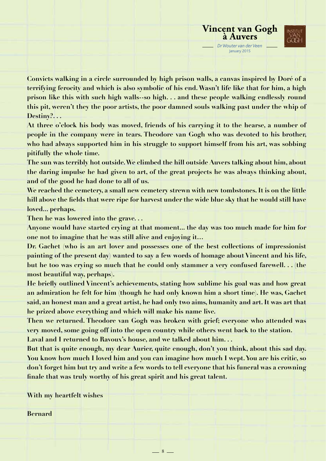

**Convicts walking in a circle surrounded by high prison walls, a canvas inspired by Doré of a terrifying ferocity and which is also symbolic of his end. Wasn't life like that for him, a high prison like this with such high walls--so high. . . and these people walking endlessly round this pit, weren't they the poor artists, the poor damned souls walking past under the whip of Destiny?. . .**

**At three o'clock his body was moved, friends of his carrying it to the hearse, a number of people in the company were in tears. Theodore van Gogh who was devoted to his brother, who had always supported him in his struggle to support himself from his art, was sobbing pitifully the whole time.**

**The sun was terribly hot outside. We climbed the hill outside Auvers talking about him, about the daring impulse he had given to art, of the great projects he was always thinking about, and of the good he had done to all of us.**

**We reached the cemetery, a small new cemetery strewn with new tombstones. It is on the little hill above the fields that were ripe for harvest under the wide blue sky that he would still have loved... perhaps.**

**Then he was lowered into the grave. . .**

**Anyone would have started crying at that moment... the day was too much made for him for one not to imagine that he was still alive and enjoying it…**

Dr. Gachet (who is an art lover and possesses one of the best collections of impressionist **painting of the present day) wanted to say a few words of homage about Vincent and his life, but he too was crying so much that he could only stammer a very confused farewell. . . (the most beautiful way, perhaps).**

**He briefly outlined Vincent's achievements, stating how sublime his goal was and how great an admiration he felt for him (though he had only known him a short time). He was, Gachet said, an honest man and a great artist, he had only two aims, humanity and art. It was art that he prized above everything and which will make his name live.**

**Then we returned. Theodore van Gogh was broken with grief; everyone who attended was very moved, some going off into the open country while others went back to the station.**

**Laval and I returned to Ravoux's house, and we talked about him. . .**

**But that is quite enough, my dear Aurier, quite enough, don't you think, about this sad day. You know how much I loved him and you can imagine how much I wept. You are his critic, so don't forget him but try and write a few words to tell everyone that his funeral was a crowning finale that was truly worthy of his great spirit and his great talent.**

 $-8 -$ 

**With my heartfelt wishes**

#### **Bernard**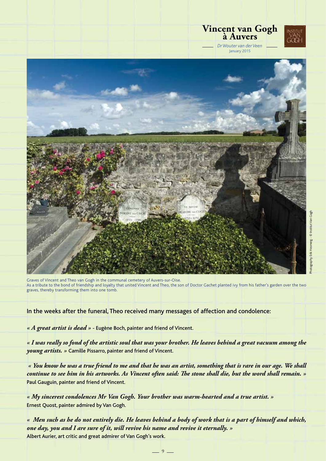

Graves of Vincent and Theo van Gogh in the communal cemetery of Auvers-sur-Oise. As a tribute to the bond of friendship and loyalty that united Vincent and Theo, the son of Doctor Gachet planted ivy from his father's garden over the two graves, thereby transforming them into one tomb.

In the weeks after the funeral, Theo received many messages of affection and condolence:

*« A great artist is dead »* - Eugène Boch, painter and friend of Vincent.

*« I was really so fond of the artistic soul that was your brother. He leaves behind a great vacuum among the young artists. »* Camille Pissarro, painter and friend of Vincent.

*« You know he was a true friend to me and that he was an artist, something that is rare in our age. We shall continue to see him in his artworks. As Vincent often said: The stone shall die, but the word shall remain. »* Paul Gauguin, painter and friend of Vincent.

*« My sincerest condolences Mr Van Gogh. Your brother was warm-hearted and a true artist. »* Ernest Quost, painter admired by Van Gogh.

*« Men such as he do not entirely die. He leaves behind a body of work that is a part of himself and which, one day, you and I are sure of it, will revive his name and revive it eternally. »*  Albert Aurier, art critic and great admirer of Van Gogh's work.

 $-9$  —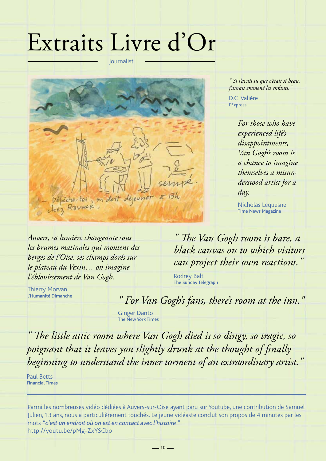## Extraits Livre d'Or

Journalist



*Auvers, sa lumière changeante sous les brumes matinales qui montent des berges de l'Oise, ses champs dorés sur le plateau du Vexin… on imagine l'éblouissement de Van Gogh.*

*" Si j'avais su que c'était si beau, j'aurais emmené les enfants."*

D.C. Valière l'Express

> *For those who have experienced life's disappointments, Van Gogh's room is a chance to imagine themselves a misunderstood artist for a day.*

Nicholas Lequesne Time News Magazine

*" The Van Gogh room is bare, a black canvas on to which visitors can project their own reactions."*

Rodrey Balt The Sunday Telegraph

Thierry Morvan l'Humanité Dimanche

*" For Van Gogh's fans, there's room at the inn."*

Ginger Danto The New York Times

*" The little attic room where Van Gogh died is so dingy, so tragic, so poignant that it leaves you slightly drunk at the thought of finally beginning to understand the inner torment of an extraordinary artist."*

Paul Betts Financial Times

Parmi les nombreuses vidéo dédiées à Auvers-sur-Oise ayant paru sur Youtube, une contribution de Samuel Julien, 13 ans, nous a particulièrement touchés. Le jeune vidéaste conclut son propos de 4 minutes par les mots *"c'est un endroit où on est en contact avec l'histoire "*  http://youtu.be/pMg-ZxYSCbo

 $-10-$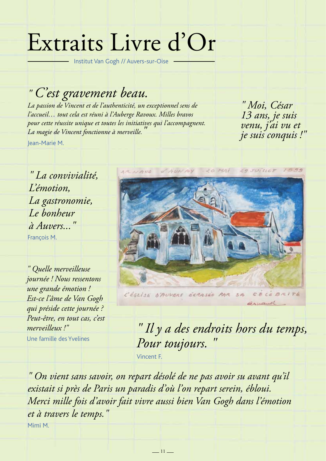## Extraits Livre d'Or

Institut Van Gogh // Auvers-sur-Oise

*" C'est gravement beau.*

*La passion de Vincent et de l'authenticité, un exceptionnel sens de l'accueil… tout cela est réuni à l'Auberge Ravoux. Milles bravos pour cette réussite unique et toutes les initiatives qui l'accompagnent. La magie de Vincent fonctionne à merveille."* Jean-Marie M.

*" Moi, César 13 ans, je suis venu, j'ai vu et je suis conquis !"*

*" La convivialité, L'émotion, La gastronomie, Le bonheur à Auvers..."*

François M.

*" Quelle merveilleuse journée ! Nous ressentons une grande émotion ! Est-ce l'âme de Van Gogh qui préside cette journée ? Peut-être, en tout cas, c'est merveilleux !"*

Une famille des Yvelines



CELEBRITÉ L'ÉGLISE B'AUVERS ÉCRASÉE PAR  $5A$ arranol

*" Il y a des endroits hors du temps,*  Pour toujours.

Vincent F.

*" On vient sans savoir, on repart désolé de ne pas avoir su avant qu'il existait si près de Paris un paradis d'où l'on repart serein, ébloui. Merci mille fois d'avoir fait vivre aussi bien Van Gogh dans l'émotion et à travers le temps."* Mimi M.

 $-11-$